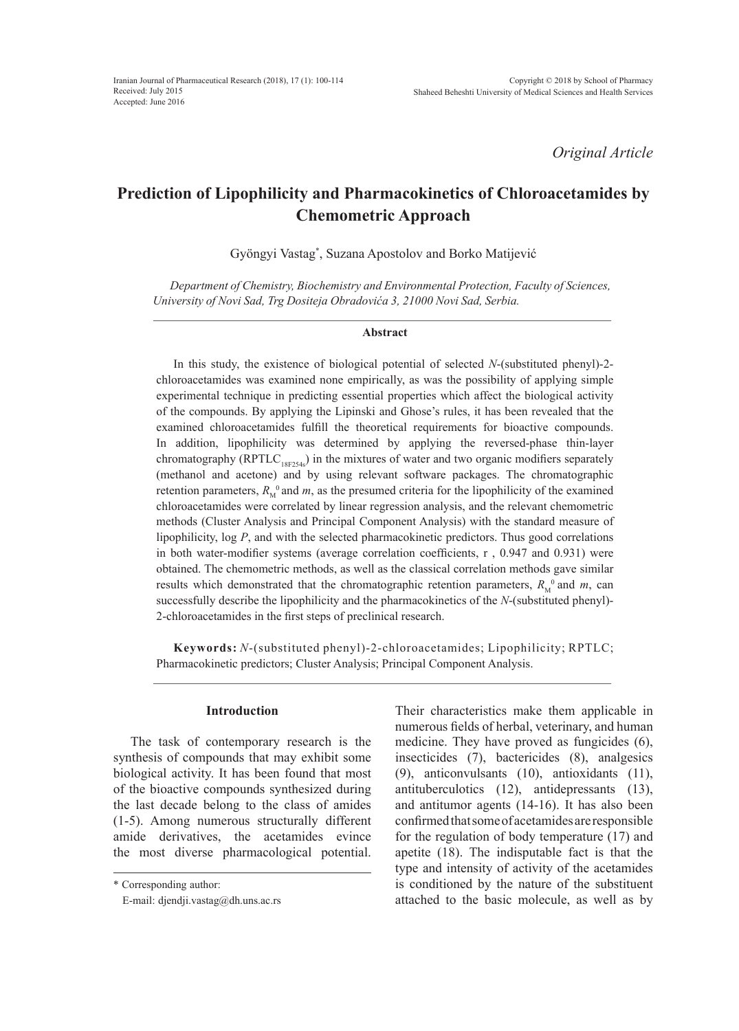*Original Article*

# **Prediction of Lipophilicity and Pharmacokinetics of Chloroacetamides by Chemometric Approach**

Gyöngyi Vastag\* , Suzana Apostolov and Borko Matijević

*Department of Chemistry, Biochemistry and Environmental Protection, Faculty of Sciences, University of Novi Sad, Trg Dositeja Obradovića 3, 21000 Novi Sad, Serbia.*

#### **Abstract**

In this study, the existence of biological potential of selected *N*-(substituted phenyl)-2 chloroacetamides was examined none empirically, as was the possibility of applying simple experimental technique in predicting essential properties which affect the biological activity of the compounds. By applying the Lipinski and Ghose's rules, it has been revealed that the examined chloroacetamides fulfill the theoretical requirements for bioactive compounds. In addition, lipophilicity was determined by applying the reversed-phase thin-layer chromatography (RPTLC<sub>18F254s</sub>) in the mixtures of water and two organic modifiers separately (methanol and acetone) and by using relevant software packages. The chromatographic retention parameters,  $R_M^0$  and *m*, as the presumed criteria for the lipophilicity of the examined chloroacetamides were correlated by linear regression analysis, and the relevant chemometric methods (Cluster Analysis and Principal Component Analysis) with the standard measure of lipophilicity, log *P*, and with the selected pharmacokinetic predictors. Thus good correlations in both water-modifier systems (average correlation coefficients,  $r$ , 0.947 and 0.931) were obtained. The chemometric methods, as well as the classical correlation methods gave similar results which demonstrated that the chromatographic retention parameters,  $R_M^0$  and  $m$ , can successfully describe the lipophilicity and the pharmacokinetics of the *N*-(substituted phenyl)- 2-chloroacetamides in the first steps of preclinical research.

**Keywords:** *N*-(substituted phenyl)-2-chloroacetamides; Lipophilicity; RPTLC; Pharmacokinetic predictors; Cluster Analysis; Principal Component Analysis.

#### **Introduction**

The task of contemporary research is the synthesis of compounds that may exhibit some biological activity. It has been found that most of the bioactive compounds synthesized during the last decade belong to the class of amides (1-5). Among numerous structurally different amide derivatives, the acetamides evince the most diverse pharmacological potential.

Their characteristics make them applicable in numerous fields of herbal, veterinary, and human medicine. They have proved as fungicides (6), insecticides (7), bactericides (8), analgesics (9), anticonvulsants (10), antioxidants (11), antituberculotics (12), antidepressants (13), and antitumor agents (14-16). It has also been confirmed that some of acetamides are responsible for the regulation of body temperature (17) and apetite (18). The indisputable fact is that the type and intensity of activity of the acetamides is conditioned by the nature of the substituent attached to the basic molecule, as well as by

<sup>\*</sup> Corresponding author:

E-mail: djendji.vastag@dh.uns.ac.rs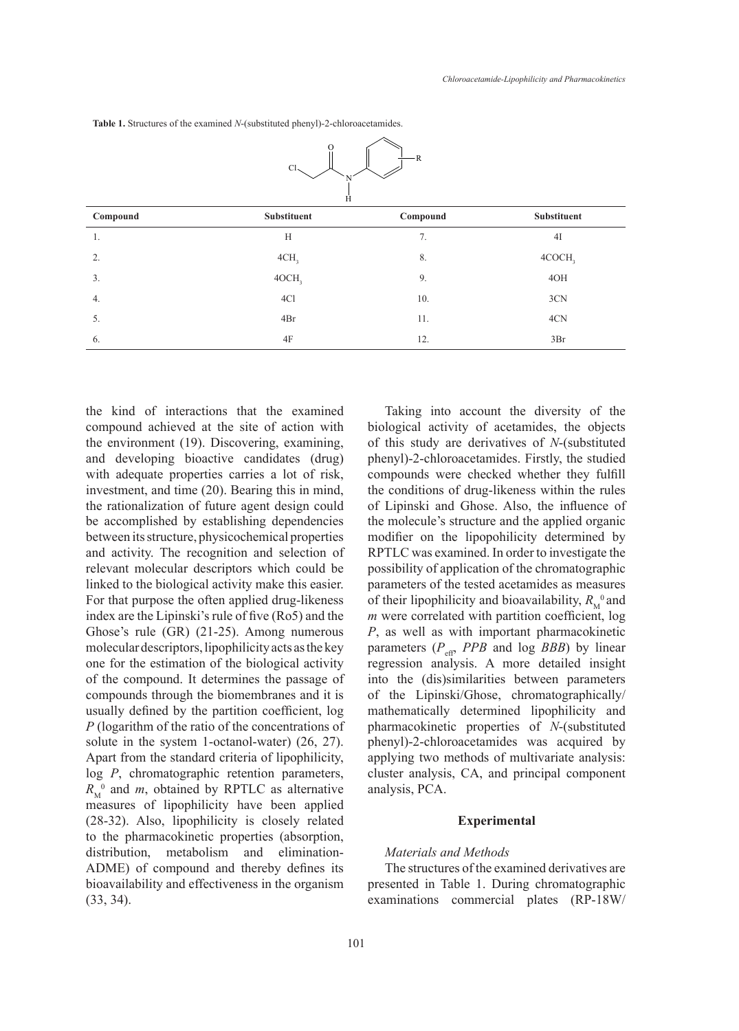| - R<br>Cl <sub>2</sub><br>Ĥ |                    |          |             |  |  |  |  |
|-----------------------------|--------------------|----------|-------------|--|--|--|--|
| Compound                    | <b>Substituent</b> | Compound | Substituent |  |  |  |  |
| 1.                          | H                  | 7.       | 4I          |  |  |  |  |
| 2.                          | 4CH <sub>3</sub>   | 8.       | 4COCH,      |  |  |  |  |
| 3.                          | 4OCH <sub>3</sub>  | 9.       | 4OH         |  |  |  |  |
| 4.                          | 4Cl                | 10.      | 3CN         |  |  |  |  |
| 5.                          | 4Br                | 11.      | 4CN         |  |  |  |  |
| 6.                          | 4F                 | 12.      | 3Br         |  |  |  |  |

 $\int$ 

ſ

ৗ

**Table 1.** Structures of the examined *N*-(substituted phenyl)-2-chloroacetamides. **Table 1.** Structures of the examined *N*-(substituted phenyl)-2-chloroacetamides.

the kind of interactions that the examined compound achieved at the site of action with the environment (19). Discovering, examining, and developing bioactive candidates (drug) with adequate properties carries a lot of risk, investment, and time (20). Bearing this in mind, the rationalization of future agent design could be accomplished by establishing dependencies between its structure, physicochemical properties and activity. The recognition and selection of relevant molecular descriptors which could be linked to the biological activity make this easier. For that purpose the often applied drug-likeness index are the Lipinski's rule of five (Ro5) and the Ghose's rule (GR) (21-25). Among numerous molecular descriptors, lipophilicity acts as the key one for the estimation of the biological activity of the compound. It determines the passage of compounds through the biomenbranes and it is usually defined by the partition coefficient, log 
$$
P
$$
 (logarithm of the ratio of the concentrations of solute in the system 1-octanol-water) (26, 27). Apart from the standard criteria of lipophilicity, log  $P$ , chromatographic retention parameters,  $R_n^0$  and  $m$ , obtained by RPTLC as alternative measures of lipophilicity have been applied (28-32). Also, lipophilicity have been applied (28-32). Also, lipophilicity is closely related to the pharmacokinetic properties (absorption, distribution, metabolism and elimination-ADME) of compound and thereby defines its bioavailability and effectiveness in the organism (33, 34).

Taking into account the diversity of the biological activity of acetamides, the objects of this study are derivatives of *N*-(substituted phenyl)-2-chloroacetamides. Firstly, the studied compounds were checked whether they fulfill the conditions of drug-likeness within the rules of Lipinski and Ghose. Also, the influence of the molecule's structure and the applied organic modifier on the lipopohilicity determined by RPTLC was examined. In order to investigate the possibility of application of the chromatographic parameters of the tested acetamides as measures of their lipophilicity and bioavailability,  $R_M^0$  and *m* were correlated with partition coefficient, log *P*, as well as with important pharmacokinetic parameters  $(P_{\text{eff}}$ , *PPB* and log *BBB*) by linear regression analysis. A more detailed insight into the (dis)similarities between parameters of the Lipinski/Ghose, chromatographically/ mathematically determined lipophilicity and pharmacokinetic properties of *N*-(substituted phenyl)-2-chloroacetamides was acquired by applying two methods of multivariate analysis: cluster analysis, CA, and principal component analysis, PCA.

#### **Experimental**

#### *Materials and Methods*

The structures of the examined derivatives are presented in Table 1. During chromatographic examinations commercial plates (RP-18W/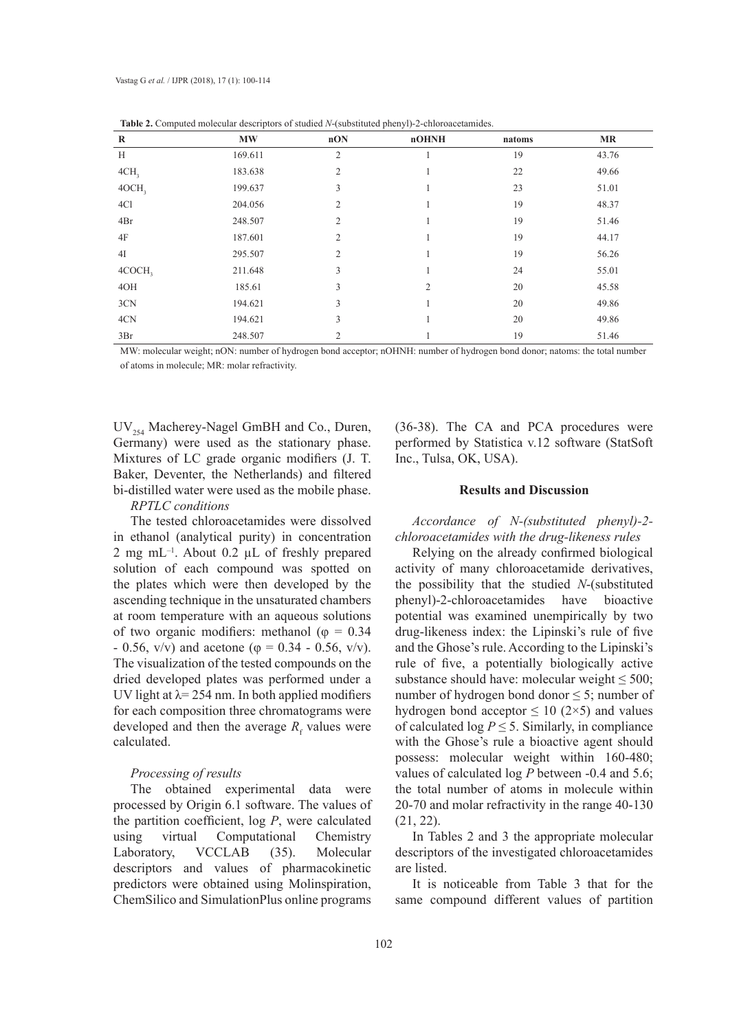| $\overline{\phantom{a}}$<br>$\bf R$ | $\mathbf{M}\mathbf{W}$ | nON            | <br>. .<br>nOHNH | natoms | <b>MR</b> |
|-------------------------------------|------------------------|----------------|------------------|--------|-----------|
|                                     |                        |                |                  |        |           |
| H                                   | 169.611                | $\overline{c}$ |                  | 19     | 43.76     |
| 4CH <sub>3</sub>                    | 183.638                | $\overline{2}$ |                  | 22     | 49.66     |
| 4OCH <sub>3</sub>                   | 199.637                | 3              |                  | 23     | 51.01     |
| 4Cl                                 | 204.056                | 2              |                  | 19     | 48.37     |
| 4Br                                 | 248.507                | $\overline{2}$ |                  | 19     | 51.46     |
| 4F                                  | 187.601                | 2              |                  | 19     | 44.17     |
| 4I                                  | 295.507                | $\overline{2}$ |                  | 19     | 56.26     |
| 4COCH <sub>3</sub>                  | 211.648                | 3              |                  | 24     | 55.01     |
| 40H                                 | 185.61                 | 3              | $\overline{2}$   | 20     | 45.58     |
| 3CN                                 | 194.621                | 3              |                  | 20     | 49.86     |
| 4CN                                 | 194.621                | 3              |                  | 20     | 49.86     |
| 3Br                                 | 248.507                | $\overline{2}$ |                  | 19     | 51.46     |

**Table 2.** Computed molecular descriptors of studied *N*-(substituted phenyl)-2-chloroacetamides.

MW: molecular weight; nON: number of hydrogen bond acceptor; nOHNH: number of hydrogen bond donor; natoms: the total number of atoms in molecule; MR: molar refractivity.

UV<sub>254</sub> Macherey-Nagel GmBH and Co., Duren, Germany) were used as the stationary phase. Mixtures of LC grade organic modifiers (J. T. Baker, Deventer, the Netherlands) and filtered bi-distilled water were used as the mobile phase.

#### *RPTLC conditions*

The tested chloroacetamides were dissolved in ethanol (analytical purity) in concentration 2 mg mL $^{-1}$ . About 0.2 µL of freshly prepared solution of each compound was spotted on the plates which were then developed by the ascending technique in the unsaturated chambers at room temperature with an aqueous solutions of two organic modifiers: methanol ( $\varphi = 0.34$  $- 0.56$ , v/v) and acetone ( $\varphi = 0.34 - 0.56$ , v/v). The visualization of the tested compounds on the dried developed plates was performed under a UV light at  $\lambda$  = 254 nm. In both applied modifiers for each composition three chromatograms were developed and then the average  $R_f$  values were calculated.

#### *Processing of results*

The obtained experimental data were processed by Origin 6.1 software. The values of the partition coefficient, log *P*, were calculated using virtual Computational Chemistry Laboratory, VCCLAB (35). Molecular descriptors and values of pharmacokinetic predictors were obtained using Molinspiration, ChemSilico and SimulationPlus online programs

(36-38). The CA and PCA procedures were performed by Statistica v.12 software (StatSoft Inc., Tulsa, OK, USA).

#### **Results and Discussion**

*Accordance of N-(substituted phenyl)-2 chloroacetamides with the drug-likeness rules*

Relying on the already confirmed biological activity of many chloroacetamide derivatives, the possibility that the studied *N*-(substituted phenyl)-2-chloroacetamides have bioactive potential was examined unempirically by two drug-likeness index: the Lipinski's rule of five and the Ghose's rule. According to the Lipinski's rule of five, a potentially biologically active substance should have: molecular weight  $\leq 500$ ; number of hydrogen bond donor  $\leq 5$ ; number of hydrogen bond acceptor  $\leq 10$  (2×5) and values of calculated  $\log P \leq 5$ . Similarly, in compliance with the Ghose's rule a bioactive agent should possess: molecular weight within 160-480; values of calculated log *P* between -0.4 and 5.6; the total number of atoms in molecule within 20-70 and molar refractivity in the range 40-130 (21, 22).

In Tables 2 and 3 the appropriate molecular descriptors of the investigated chloroacetamides are listed.

It is noticeable from Table 3 that for the same compound different values of partition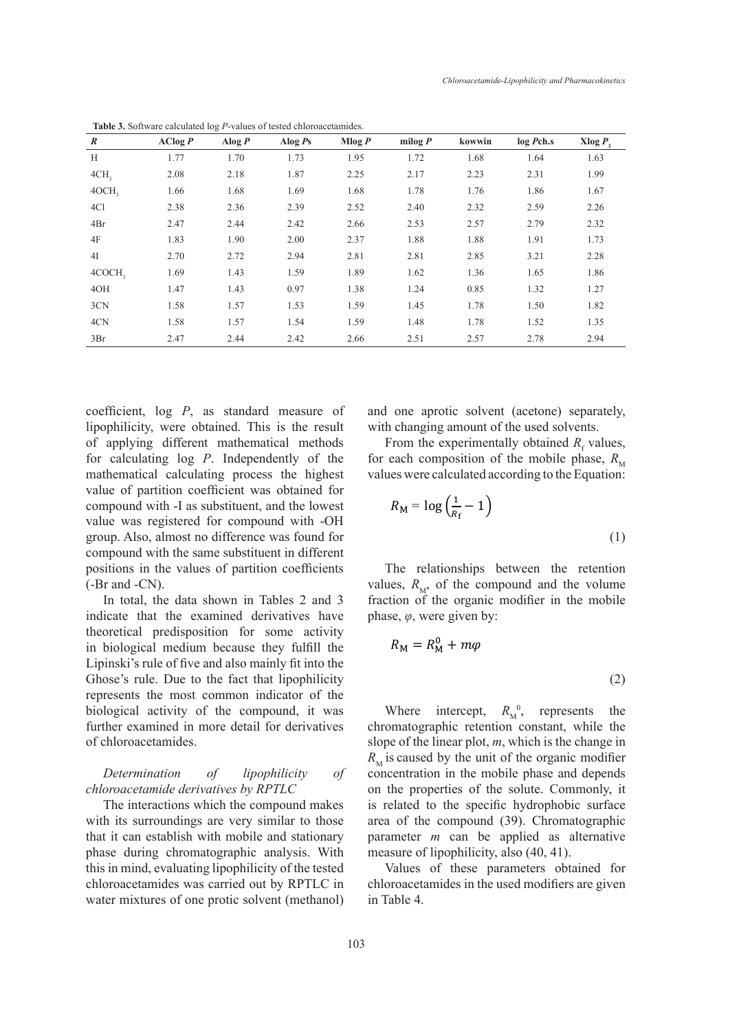| $\boldsymbol{R}$   | $\text{AClog } P$ | Alog $P$ | Alog $Ps$ | Mlog P | milog $P$ | kowwin | log P <sub>ch.s</sub> | Xlog $P_3$ |
|--------------------|-------------------|----------|-----------|--------|-----------|--------|-----------------------|------------|
| H                  | 1.77              | 1.70     | 1.73      | 1.95   | 1.72      | 1.68   | 1.64                  | 1.63       |
| 4CH <sub>3</sub>   | 2.08              | 2.18     | 1.87      | 2.25   | 2.17      | 2.23   | 2.31                  | 1.99       |
| 4OCH <sub>3</sub>  | 1.66              | 1.68     | 1.69      | 1.68   | 1.78      | 1.76   | 1.86                  | 1.67       |
| 4Cl                | 2.38              | 2.36     | 2.39      | 2.52   | 2.40      | 2.32   | 2.59                  | 2.26       |
| 4Br                | 2.47              | 2.44     | 2.42      | 2.66   | 2.53      | 2.57   | 2.79                  | 2.32       |
| 4F                 | 1.83              | 1.90     | 2.00      | 2.37   | 1.88      | 1.88   | 1.91                  | 1.73       |
| 4I                 | 2.70              | 2.72     | 2.94      | 2.81   | 2.81      | 2.85   | 3.21                  | 2.28       |
| 4COCH <sub>3</sub> | 1.69              | 1.43     | 1.59      | 1.89   | 1.62      | 1.36   | 1.65                  | 1.86       |
| 4OH                | 1.47              | 1.43     | 0.97      | 1.38   | 1.24      | 0.85   | 1.32                  | 1.27       |
| 3CN                | 1.58              | 1.57     | 1.53      | 1.59   | 1.45      | 1.78   | 1.50                  | 1.82       |
| 4CN                | 1.58              | 1.57     | 1.54      | 1.59   | 1.48      | 1.78   | 1.52                  | 1.35       |
| 3Br                | 2.47              | 2.44     | 2.42      | 2.66   | 2.51      | 2.57   | 2.78                  | 2.94       |

**Table 3.** Software calculated log *P*-values of tested chloroacetamides.  $\ddot{d}$  different positions in the values of partition coefficients (-Br and -CN).

coefficient, log *P*, as standard measure of lipophilicity, were obtained. This is the result of applying different mathematical methods for calculating log *P*. Independently of the mathematical calculating process the highest value of partition coefficient was obtained for compound with -I as substituent, and the lowest  $R_M = \log \left( \frac{1}{R} \right)$ value was registered for compound with -OH group. Also, almost no difference was found for compound with the same substituent in different positions in the values of partition coefficients (-Br and -CN).

In total, the data shown in Tables 2 and 3 indicate that the examined derivatives have theoretical predisposition for some activity in biological medium because they fulfill the  $R_M = R_M^0$ Lipinski's rule of five and also mainly fit into the Ghose's rule. Due to the fact that lipophilicity represents the most common indicator of the biological activity of the compound, it was further examined in more detail for derivatives of chloroacetamides. , represents the chromatographic retention constant, while the slope of  $\mathcal{C}$ , represents the chromatographic retention constant, while the slope of  $\mathbb{R}$ 

*Determination of lipophilicity of chloroacetamide derivatives by RPTLC*

The interactions which the compound makes with its surroundings are very similar to those that it can establish with mobile and stationary phase during chromatographic analysis. With this in mind, evaluating lipophilicity of the tested chloroacetamides was carried out by RPTLC in water mixtures of one protic solvent (methanol)

and one aprotic solvent (acetone) separately, ed. This is the result with changing amount of the used solvents. separately, with changing amount of the used solvents.

athematical methods From the experimentally obtained  $R_f$  values, for each composition of the mobile phase,  $R_{\text{M}}$ values were calculated according to the Equation:

$$
R_{\rm M} = \log\left(\frac{1}{R_{\rm f}} - 1\right) \tag{1}
$$

partition coefficients The relationships between the retention values,  $\overline{R}$ ,  $\overline{R}$ ,  $\overline{R}$ ,  $\overline{R}$ partition coefficients The relationships between the retention values,  $R_M$ , of the compound and the volume *vn* in Tables 2 and 3 fraction of the organic modifier in the mobile phase, *φ*, were given by:

$$
R_{\rm M} = R_{\rm M}^0 + m\varphi \tag{2}
$$

e compound, it was Where intercept,  $R_M^0$ , represents the unit of the organic model is the organic model of the organic model is the organic model in the organic model is the organic model in the organic model in the org chromatographic retention constant, while the detail for derivatives chromatographic retention constant, while the slope of the linear plot,  $m$ , which is the change in  $R_M$  is caused by the unit of the organic modifier *is the seconcentration in the mobile phase and depends*  $\frac{N_M \text{ is caused by the unit of the organic moment}}{N_M \text{ is a constant of the initial velocity}}$ es by RPTLC on the properties of the solute. Commonly, it is related to the specific hydrophobic surface area of the compound (39). Chromatographic parameter *m* can be applied as alternative measure of lipophilicity, also (40, 41).

> Values of these parameters obtained for chloroacetamides in the used modifiers are given in Table 4.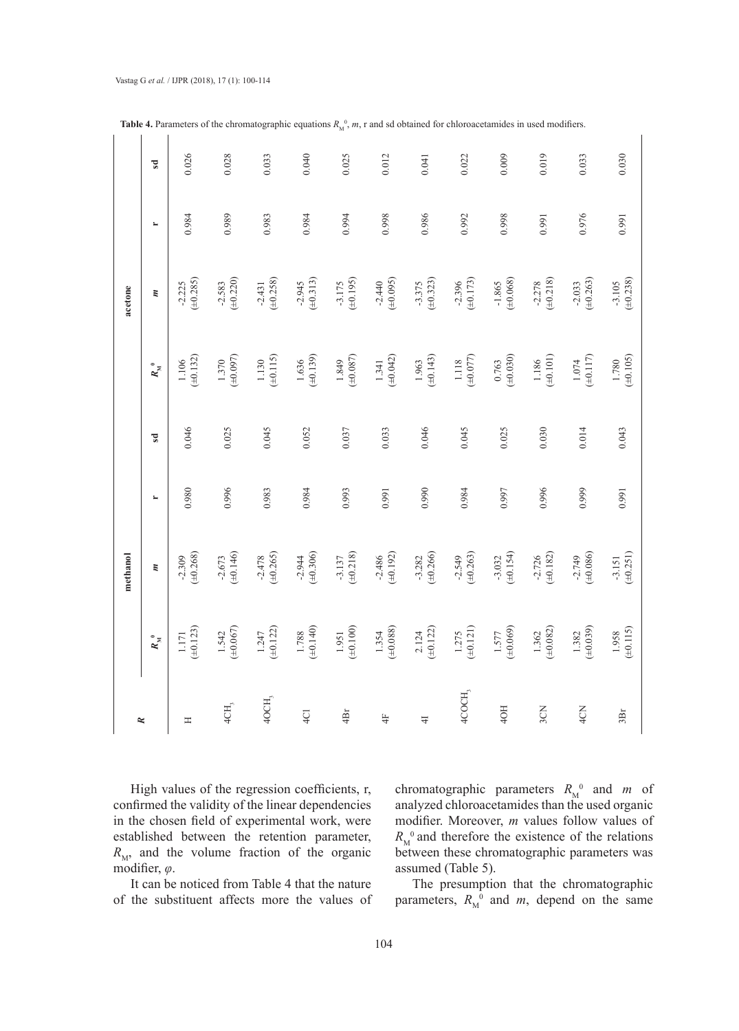|          | $\overline{\mathbf{s}}$ | 0.026                       | 0.028                       | 0.033                       | 0.040                       | 0.025                       | 0.012                       | 0.041                       | 0.022                       | 0.009                       | 0.019                       | 0.033                       | 0.030                       |
|----------|-------------------------|-----------------------------|-----------------------------|-----------------------------|-----------------------------|-----------------------------|-----------------------------|-----------------------------|-----------------------------|-----------------------------|-----------------------------|-----------------------------|-----------------------------|
|          | $\blacksquare$          | 0.984                       | 0.989                       | 0.983                       | 0.984                       | 0.994                       | 0.998                       | 0.986                       | 0.992                       | 0.998                       | 0.991                       | 0.976                       | 0.991                       |
| acetone  | $\boldsymbol{n}$        | $-2.225$<br>( $\pm 0.285$ ) | $(\pm 0.220)$<br>$-2.583$   | $-2.431$<br>( $\pm 0.258$ ) | $-2.945$<br>( $\pm 0.313$ ) | $-3.175$<br>( $\pm 0.195$ ) | $-2.440$<br>( $\pm 0.095$ ) | $-3.375$<br>( $\pm 0.323$ ) | $-2.396$<br>( $\pm 0.173$ ) | $-1.865$<br>( $\pm 0.068$ ) | $-2.278$<br>( $\pm 0.218$ ) | $-2.033$<br>( $\pm 0.263$ ) | $-3.105$<br>( $\pm 0.238$ ) |
|          | $R_{\rm M}^{~~0}$       | $1.106$<br>( $\pm 0.132$ )  | $1.370$<br>( $\pm 0.097$ )  | $1.130$<br>( $\pm 0.115$ )  | $1.636$<br>( $\pm 0.139$ )  | $(\pm 0.087)$<br>1.849      | $1.341$<br>( $\pm 0.042$ )  | $(\pm 0.143)$<br>1.963      | $1.118$<br>( $\pm 0.077$ )  | $0.763$<br>( $\pm 0.030$ )  | $1.186$<br>( $\pm 0.101$ )  | $1.074$<br>( $\pm$ 0.117)   | $1.780$<br>( $\pm 0.105$ )  |
|          | $\overline{s}$          | 0.046                       | 0.025                       | 0.045                       | 0.052                       | 0.037                       | 0.033                       | 0.046                       | 0.045                       | 0.025                       | 0.030                       | 0.014                       | 0.043                       |
|          | $\blacksquare$          | 0.980                       | 0.996                       | 0.983                       | 0.984                       | 0.993                       | 0.991                       | 0.990                       | 0.984                       | 0.997                       | 0.996                       | 0.999                       | 0.991                       |
| methanol |                         | $(\pm 0.268)$<br>$-2.309$   | $-2.673$<br>( $\pm 0.146$ ) | $-2.478$<br>( $\pm 0.265$ ) | $-2.944$<br>( $\pm 0.306$ ) | $-3.137$<br>( $\pm 0.218$ ) | $-2.486$<br>( $\pm 0.192$ ) | $-3.282$<br>( $\pm 0.266$ ) | $-2.549$<br>( $\pm 0.263$ ) | $-3.032$<br>( $\pm 0.154$ ) | $-2.726$<br>( $\pm 0.182$ ) | $-2.749$<br>( $\pm 0.086$ ) | $-3.151$<br>( $\pm 0.251$ ) |
|          | $R_{\rm M}^{~~0}$       | $1.171$<br>( $\pm 0.123$ )  | $(\pm 0.067)$<br>1.542      | $1.247$<br>( $\pm 0.122$ )  | $1.788$<br>( $\pm 0.140$ )  | $(\pm 0.100)$<br>1.951      | $1.354$<br>( $\pm 0.088$ )  | $2.124$<br>( $\pm 0.122$ )  | $1.275$<br>( $\pm 0.121$ )  | $1.577$<br>(±0.069)         | $(\pm 0.082)$<br>1.362      | $1.382$<br>( $\pm 0.039$ )  | $1.958$<br>( $\pm 0.115$ )  |
| ĸ        |                         | Η                           | 4CH,                        | 4OCH,                       | Q1                          | 4Br                         | 4F                          | $\overline{+}$              | 4COCH,                      | 4OH                         | 3CN                         | 4CN                         | 3Br                         |

**Table 4.** Parameters of the chromatographic equations  $R_M^0$ ,  $m$ , r and sd obtained for chloroacetamides in used modifiers.

High values of the regression coefficients, r, confirmed the validity of the linear dependencies in the chosen field of experimental work, were established between the retention parameter,  $R_{\text{M}}$ , and the volume fraction of the organic modifier, *φ*.

It can be noticed from Table 4 that the nature of the substituent affects more the values of

chromatographic parameters  $R_M^0$  and *m* of analyzed chloroacetamides than the used organic modifier. Moreover, *m* values follow values of  $R_M^0$  and therefore the existence of the relations between these chromatographic parameters was assumed (Table 5).

The presumption that the chromatographic parameters,  $R_M^0$  and  $m$ , depend on the same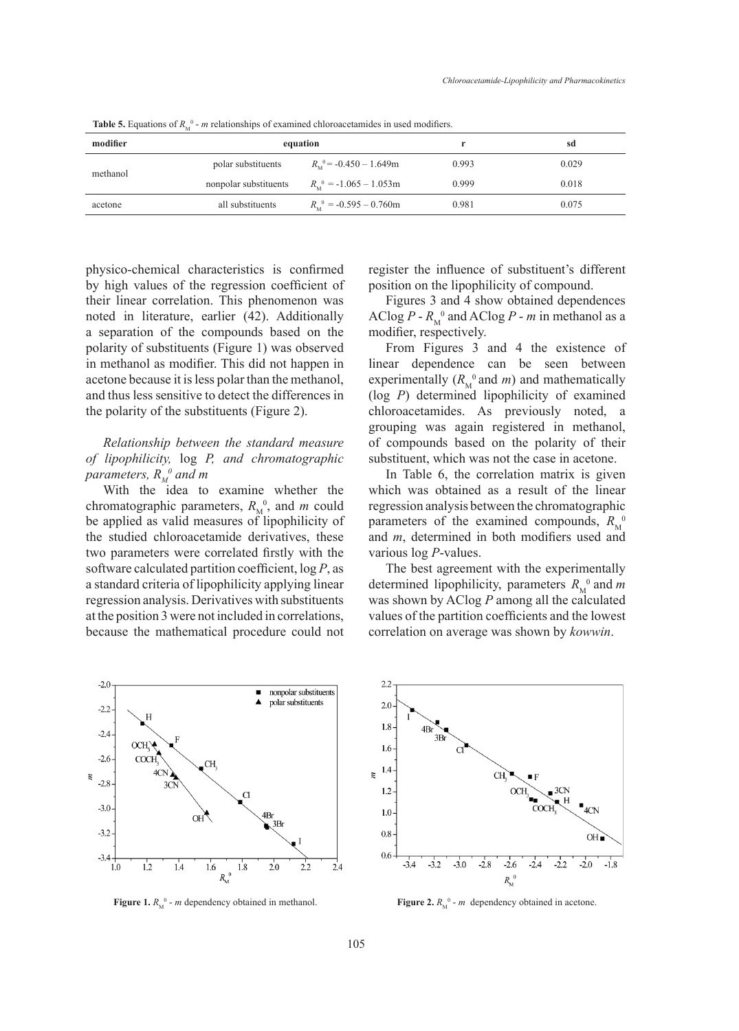| modifier |                       | equation                                   |       | sd    |
|----------|-----------------------|--------------------------------------------|-------|-------|
| methanol | polar substituents    | $R_{\rm M}$ <sup>0</sup> = -0.450 - 1.649m | 0.993 | 0.029 |
|          | nonpolar substituents | $R_{\rm M}^{0}$ = -1.065 - 1.053m          | 0.999 | 0.018 |
| acetone  | all substituents      | $R_{\rm M}^{0}$ = -0.595 – 0.760m          | 0.981 | 0.075 |

**Table 5.** Equations of  $R_M^0$  - *m* relationships of examined chloroacetamides in used modifiers.

physico-chemical characteristics is confirmed by high values of the regression coefficient of their linear correlation. This phenomenon was noted in literature, earlier (42). Additionally a separation of the compounds based on the polarity of substituents (Figure 1) was observed in methanol as modifier. This did not happen in linear dependent of *RM*<sup>1</sup> acetone because it is less polar than the methanol, and thus less sensitive to detect the differences in the polarity of the substituents (Figure 2). nonpolar substituents *R*<sup>M</sup> 0 = -1.065 – 1.053*m* 0.999 0.018

*Relationship between the standard measure of lipophilicity,* log *P, and chromatographic*  parameters,  $R_M^{\;\; 0}$  and m

With the idea to examine whether the chromatographic parameters,  $R_M^0$ , and *m* could be applied as valid measures of lipophilicity of parameters, *Parameters* the studied chloroacetamide derivatives, these and  $m$ , determined by high values of the regression coefficient of the regression coefficient of the regression coefficient of the regression coefficient of the regression c two parameters were correlated firstly with the software calculated partition coefficient,  $\log P$ , as The best a standard criteria of lipophilicity applying linear determined regression analysis. Derivatives with substituents was model of the not happen in action of the substituents was polar than the material of the substituents was polar than the substituents. at the position 3 were not included in correlations, because the mathematical procedure could not correlation

register the influence of substituent's different position on the lipophilicity of compound.

Figures 3 and 4 show obtained dependences AClog  $P - R_M^0$  and AClog  $P - m$  in methanol as a modifier, respectively.

From Figures 3 and 4 the existence of linear dependence can be seen between experimentally  $(R_M^0$  and *m*) and mathematically (log *P*) determined lipophilicity of examined chloroacetamides. As previously noted, a grouping was again registered in methanol, of compounds based on the polarity of their substituent, which was not the case in acetone.

In Table 6, the correlation matrix is given which was obtained as a result of the linear regression analysis between the chromatographic parameters of the examined compounds,  $R_M^0$ and *m*, determined in both modifiers used and various log *P*-values.

The best agreement with the experimentally determined lipophilicity, parameters  $R_M^0$  and *m* was shown by AClog *P* among all the calculated values of the partition coefficients and the lowest correlation on average was shown by *kowwin*.



**Figure 1.**  $R_M^0$  - *m* dependency obtained in methanol. **Figure 2.**  $R_M^0$ **Figure 2.** *R*<sup>M</sup>



mol. **Figure 2.**  $R_M^0$  - *m* dependency obtained in acetone.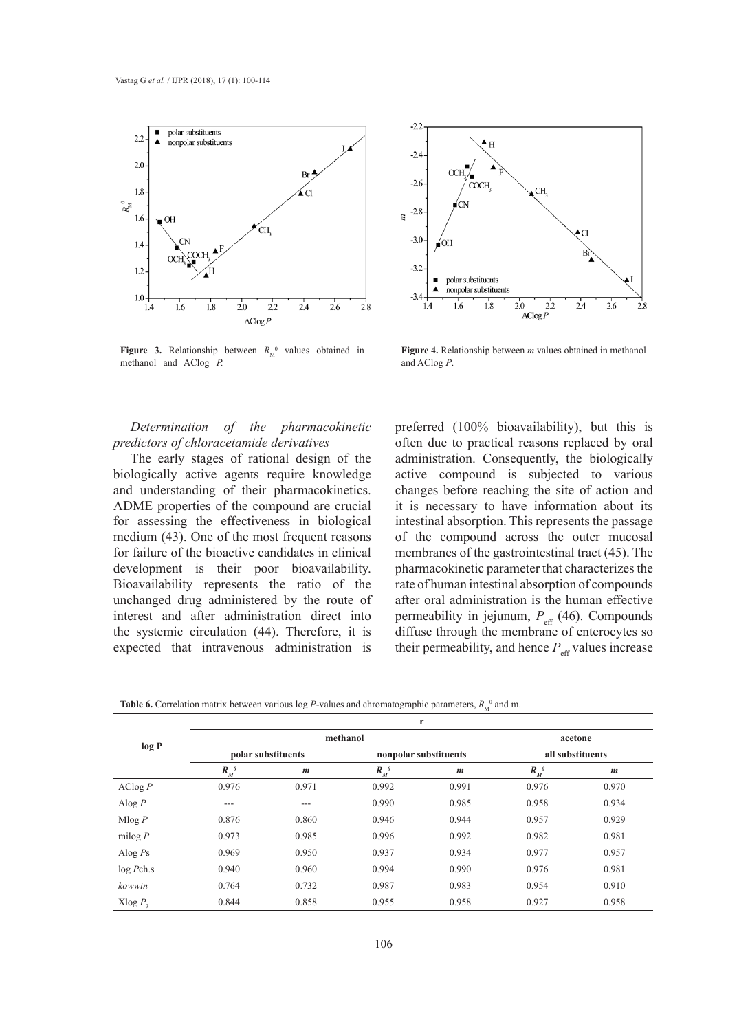



**Figure 3.** Relationship between  $R_M^0$  values obtained in methanol and AClog *P.*

rational in **Figure 4.** Relationship between *m* values obtained in methanol and AClog *P*. **Figure 4.** Relationship between *m* values obtained in methanol and AClog *P.*

### *Determination of the pharmacokinetic predictors of chloracetamide derivatives*

The early stages of rational design of the biologically active agents require knowledge and understanding of their pharmacokinetics. ADME properties of the compound are crucial for assessing the effectiveness in biological medium (43). One of the most frequent reasons for failure of the bioactive candidates in clinical development is their poor bioavailability. Bioavailability represents the ratio of the unchanged drug administered by the route of interest and after administration direct into the systemic circulation (44). Therefore, it is expected that intravenous administration is

preferred (100% bioavailability), but this is often due to practical reasons replaced by oral administration. Consequently, the biologically adiministration. Consequently, the biologically active compound is subjected to various changes before reaching the site of action and it is necessary to have information about its intestinal absorption. This represents the passage of the compound across the outer mucosal  $\frac{1}{2}$ membranes of the gastrointestinal tract (45). The pharmacokinetic parameter that characterizes the rate of human intestinal absorption of compounds after oral administration is the human effective permeability in jejunum,  $P_{\text{eff}}$  (46). Compounds diffuse through the membrane of enterocytes so their permeability, and hence  $P_{\text{eff}}$  values increase  $\mathbf{F}_{\mathbf{a}}$  and  $\mathbf{a}$  and  $\mathbf{a}$  the existence of linear dependence can be seen between experimental

|            |                    |                    |         | r                     |                    |                  |
|------------|--------------------|--------------------|---------|-----------------------|--------------------|------------------|
|            |                    | methanol           |         | acetone               |                    |                  |
| log P      |                    | polar substituents |         | nonpolar substituents | all substituents   |                  |
|            | $R_{M}^{\ \theta}$ | $\boldsymbol{m}$   | $R_M^0$ | $\boldsymbol{m}$      | $R_{M}^{\ \theta}$ | $\boldsymbol{m}$ |
| AClog P    | 0.976              | 0.971              | 0.992   | 0.991                 | 0.976              | 0.970            |
| Alog $P$   | $--$               | $---$              | 0.990   | 0.985                 | 0.958              | 0.934            |
| Mlog P     | 0.876              | 0.860              | 0.946   | 0.944                 | 0.957              | 0.929            |
| milog $P$  | 0.973              | 0.985              | 0.996   | 0.992                 | 0.982              | 0.981            |
| Alog $Ps$  | 0.969              | 0.950              | 0.937   | 0.934                 | 0.977              | 0.957            |
| log Pch.s  | 0.940              | 0.960              | 0.994   | 0.990                 | 0.976              | 0.981            |
| kowwin     | 0.764              | 0.732              | 0.987   | 0.983                 | 0.954              | 0.910            |
| Xlog $P_3$ | 0.844              | 0.858              | 0.955   | 0.958                 | 0.927              | 0.958            |

**Table 6.** Correlation matrix between various log *P*-values and chromatographic parameters,  $R_M^0$  and m. **polar substituents nonpolar substituents all substituents**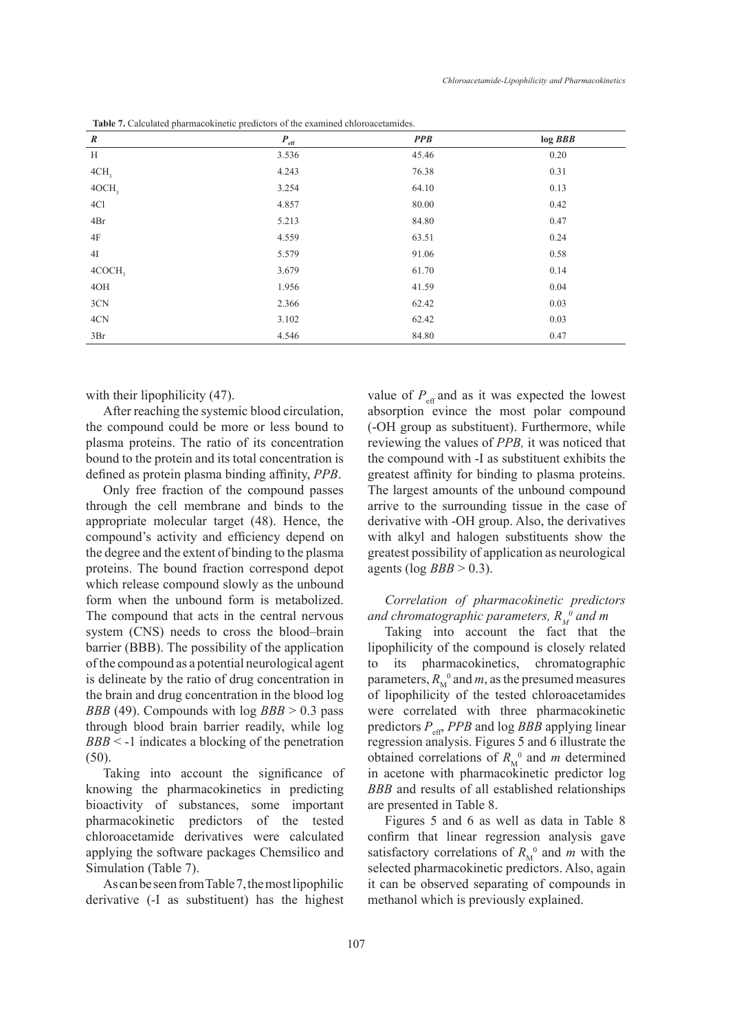| $\boldsymbol{R}$  | $\textit{P}_{\rm eff}$ | <b>PPB</b> | $log$ <i>BBB</i> |
|-------------------|------------------------|------------|------------------|
| H                 | 3.536                  | 45.46      | 0.20             |
| 4CH <sub>3</sub>  | 4.243                  | 76.38      | 0.31             |
| 40CH <sub>3</sub> | 3.254                  | 64.10      | 0.13             |
| 4Cl               | 4.857                  | 80.00      | 0.42             |
| 4Br               | 5.213                  | 84.80      | 0.47             |
| 4F                | 4.559                  | 63.51      | 0.24             |
| 4I                | 5.579                  | 91.06      | 0.58             |
| 4COCH,            | 3.679                  | 61.70      | 0.14             |
| 40H               | 1.956                  | 41.59      | 0.04             |
| 3CN               | 2.366                  | 62.42      | 0.03             |
| 4CN               | 3.102                  | 62.42      | 0.03             |
| 3Br               | 4.546                  | 84.80      | 0.47             |

**Table 7.** Calculated pharmacokinetic predictors of the examined chloroacetamides.

with their lipophilicity  $(47)$ .

After reaching the systemic blood circulation, the compound could be more or less bound to plasma proteins. The ratio of its concentration bound to the protein and its total concentration is defined as protein plasma binding affinity, *PPB*.

Only free fraction of the compound passes through the cell membrane and binds to the appropriate molecular target (48). Hence, the compound's activity and efficiency depend on the degree and the extent of binding to the plasma proteins. The bound fraction correspond depot which release compound slowly as the unbound form when the unbound form is metabolized. The compound that acts in the central nervous system (CNS) needs to cross the blood–brain barrier (BBB). The possibility of the application of the compound as a potential neurological agent is delineate by the ratio of drug concentration in the brain and drug concentration in the blood log *BBB* (49). Compounds with log *BBB* > 0.3 pass through blood brain barrier readily, while log *BBB* < -1 indicates a blocking of the penetration (50).

Taking into account the significance of knowing the pharmacokinetics in predicting bioactivity of substances, some important pharmacokinetic predictors of the tested chloroacetamide derivatives were calculated applying the software packages Chemsilico and Simulation (Table 7).

As can be seen from Table 7, the most lipophilic derivative (-I as substituent) has the highest value of  $P_{\text{eff}}$  and as it was expected the lowest absorption evince the most polar compound (-OH group as substituent). Furthermore, while reviewing the values of *PPB,* it was noticed that the compound with -I as substituent exhibits the greatest affinity for binding to plasma proteins. The largest amounts of the unbound compound arrive to the surrounding tissue in the case of derivative with -OH group. Also, the derivatives with alkyl and halogen substituents show the greatest possibility of application as neurological agents (log *BBB* > 0.3).

## *Correlation of pharmacokinetic predictors*  and chromatographic parameters,  $R_M^{\;\;\;\,0}$  and m

Taking into account the fact that the lipophilicity of the compound is closely related to its pharmacokinetics, chromatographic parameters,  $R_M^0$  and *m*, as the presumed measures of lipophilicity of the tested chloroacetamides were correlated with three pharmacokinetic predictors  $P_{\text{eff}}$ , *PPB* and log *BBB* applying linear regression analysis. Figures 5 and 6 illustrate the obtained correlations of  $R_M^0$  and *m* determined in acetone with pharmacokinetic predictor log *BBB* and results of all established relationships are presented in Table 8.

Figures 5 and 6 as well as data in Table 8 confirm that linear regression analysis gave satisfactory correlations of  $R_M^0$  and *m* with the selected pharmacokinetic predictors. Also, again it can be observed separating of compounds in methanol which is previously explained.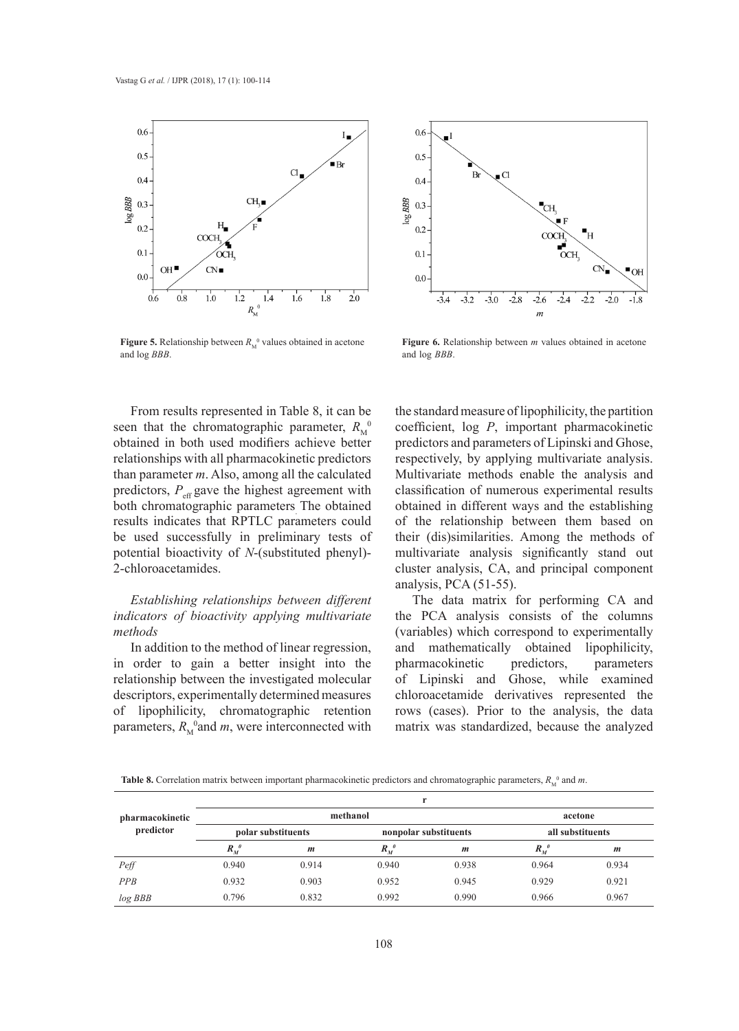

**Figure 5.** Relationship between  $R_M^0$  values obtained in acetone and log *BBB*.



d in acetone **Figure 6.** Relationship between *m* values obtained in acetone and log *BBB*.

From results represented in Table 8, it can be seen that the chromatographic parameter,  $R_{\rm M}^{0}$ <sup>0</sup> obtained in both used modifiers achieve better relationships with all pharmacokinetic predictors than parameter *m*. Also, among all the calculated predictors,  $P_{\text{eff}}$  gave the highest agreement with both chromatographic parameters. The obtained results indicates that RPTLC parameters could be used successfully in preliminary tests of potential bioactivity of *N*-(substituted phenyl)- 2-chloroacetamides.

### *Establishing relationships between different indicators of bioactivity applying multivariate methods*

In addition to the method of linear regression, in order to gain a better insight into the relationship between the investigated molecular of Lipinski and Gho. descriptors, experimentally determined measures of lipophilicity, chromatographic retention parameters,  $R_M^{\ 0}$  and *m*, were interconnected with

the standard measure of lipophilicity, the partition coefficient, log *P*, important pharmacokinetic predictors and parameters of Lipinski and Ghose, respectively, by applying multivariate analysis. Multivariate methods enable the analysis and classification of numerous experimental results obtained in different ways and the establishing of the relationship between them based on their (dis)similarities. Among the methods of multivariate analysis significantly stand out cluster analysis, CA, and principal component analysis, PCA (51-55).

The data matrix for performing CA and the PCA analysis consists of the columns (variables) which correspond to experimentally and mathematically obtained lipophilicity, pharmacokinetic predictors, parameters of Lipinski and Ghose, while examined chloroacetamide derivatives represented the rows (cases). Prior to the analysis, the data matrix was standardized, because the analyzed

**Table 8.** Correlation matrix between important pharmacokinetic predictors and chromatographic parameters,  $R_M^0$  and m.

|                              |                    |                    | ъ.                 |                       |                    |                  |  |
|------------------------------|--------------------|--------------------|--------------------|-----------------------|--------------------|------------------|--|
| pharmacokinetic<br>predictor |                    | methanol           |                    | acetone               |                    |                  |  |
|                              |                    | polar substituents |                    | nonpolar substituents | all substituents   |                  |  |
|                              | $R_{M}^{\ \theta}$ | $\boldsymbol{m}$   | $R_{M}^{\ \theta}$ | $\boldsymbol{m}$      | $R_{M}^{\ \theta}$ | $\boldsymbol{m}$ |  |
| Peff                         | 0.940              | 0.914              | 0.940              | 0.938                 | 0.964              | 0.934            |  |
| PPB                          | 0.932              | 0.903              | 0.952              | 0.945                 | 0.929              | 0.921            |  |
| log BBB                      | 0.796              | 0.832              | 0.992              | 0.990                 | 0.966              | 0.967            |  |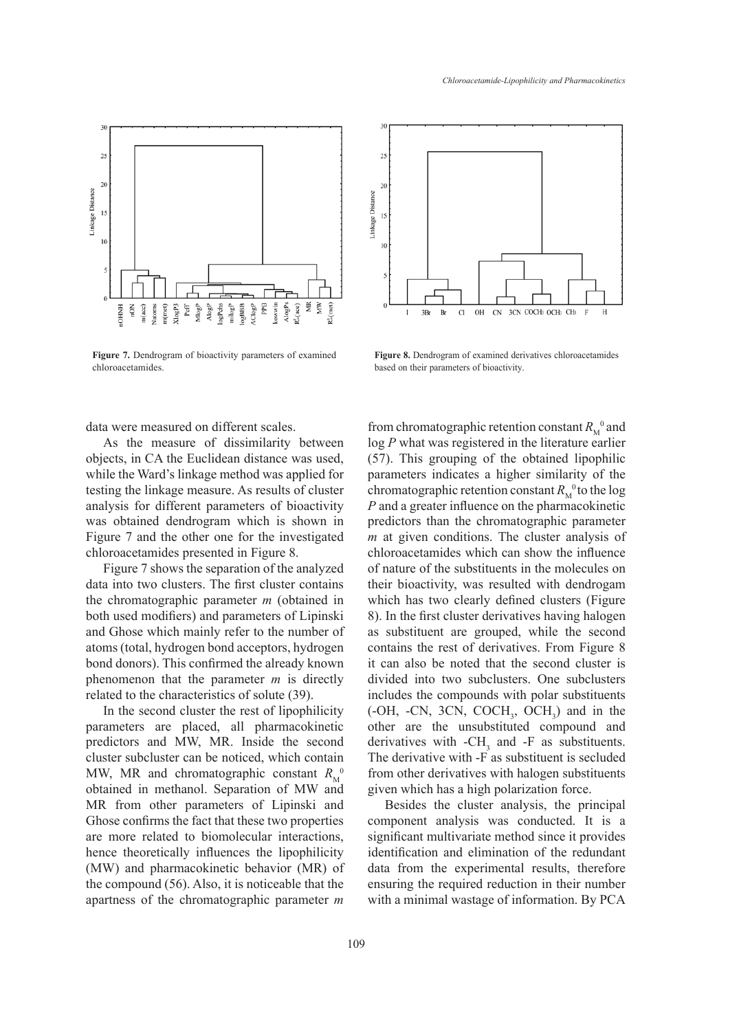

**Figure 7.** Dendrogram of bioactivity parameters of examined chloroacetamides.



Figure 7. Dendrogram of bioactivity parameters of examined<br>Figure 8. Dendrogram of examined Figure 8. Dendrogram of examined derivatives chloroacetamides based on their parameters of bioactivity.

of bioactivity.

data were measured on different scales.

As the measure of dissimilarity between objects, in CA the Euclidean distance was used, while the Ward's linkage method was applied for testing the linkage measure. As results of cluster analysis for different parameters of bioactivity was obtained dendrogram which is shown in Figure 7 and the other one for the investigated chloroacetamides presented in Figure 8.

Figure 7 shows the separation of the analyzed data into two clusters. The first cluster contains the chromatographic parameter *m* (obtained in both used modifiers) and parameters of Lipinski and Ghose which mainly refer to the number of atoms (total, hydrogen bond acceptors, hydrogen contains the rest of derivatives. From Figure 8 bond donors). This confirmed the already known phenomenon that the parameter  $m$  is directly related to the characteristics of solute (39).

In the second cluster the rest of lipophilicity parameters are placed, all pharmacokinetic parameters are praced, an pharmacokinetic of the are the unsubstituted compound and predictors and MW, MR. Inside the second derivatives with  $-CH<sub>3</sub>$  and  $-F$  as substituents. cluster subcluster can be noticed, which contain The derivative with -F as substituent is seclus MW, MR and chromatographic constant  $R_{\rm M}^{\rm O}$ obtained in methanol. Separation of MW and given which has a high polarization force. MR from other parameters of Lipinski and Ghose confirms the fact that these two properties are more related to biomolecular interactions, hence theoretically influences the lipophilicity (MW) and pharmacokinetic behavior (MR) of the compound (56). Also, it is noticeable that the apartness of the chromatographic parameter *m* 

from chromatographic retention constant  $R_M^0$  and  $\log P$  what was registered in the literature earlier (57). This grouping of the obtained lipophilic parameters indicates a higher similarity of the chromatographic retention constant  $R_M^0$  to the log *P* and a greater influence on the pharmacokinetic predictors than the chromatographic parameter *m* at given conditions. The cluster analysis of chloroacetamides which can show the influence of nature of the substituents in the molecules on their bioactivity, was resulted with dendrogam which has two clearly defined clusters (Figure 8). In the first cluster derivatives having halogen as substituent are grouped, while the second contains the rest of derivatives. From Figure 8 it can also be noted that the second cluster is divided into two subclusters. One subclusters includes the compounds with polar substituents  $(-OH, -CN, 3CN, COCH<sub>3</sub>, OCH<sub>3</sub>)$  and in the other are the unsubstituted compound and derivatives with  $-CH_3$  and  $-F$  as substituents. The derivative with -F as substituent is secluded from other derivatives with halogen substituents given which has a high polarization force. 

Besides the cluster analysis, the principal component analysis was conducted. It is a significant multivariate method since it provides identification and elimination of the redundant data from the experimental results, therefore ensuring the required reduction in their number with a minimal wastage of information. By PCA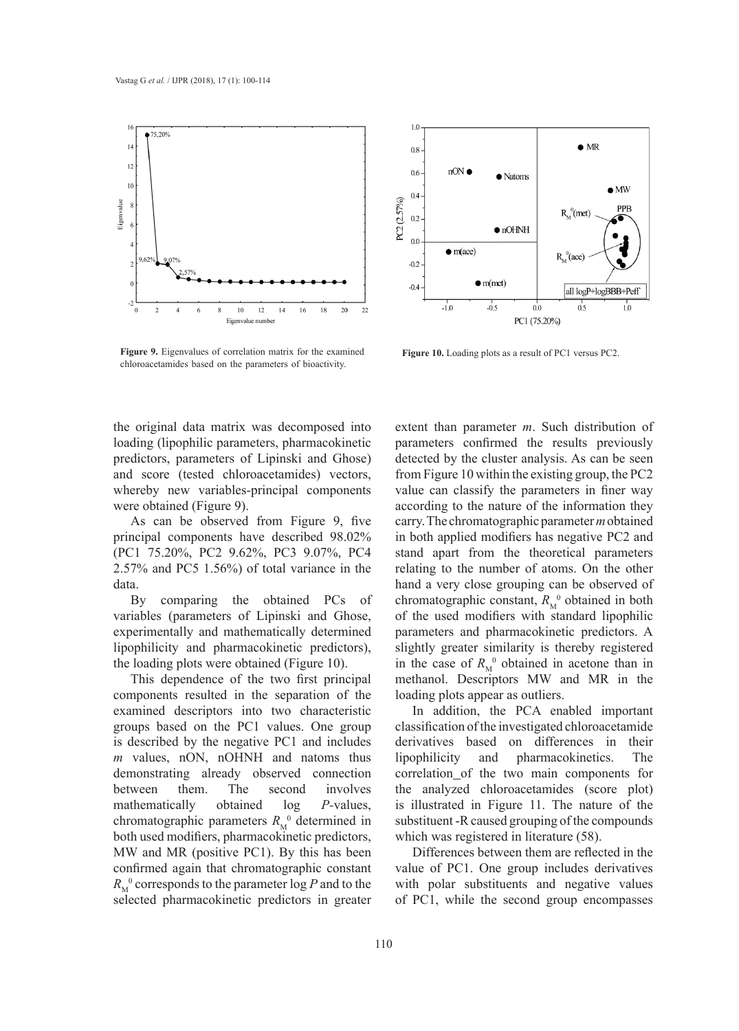

 $1.0$  $\bullet$  MR  $0.8\,$  $nON$ 0.6  $\bullet$  Natoms  $\bullet$  MW  $0.4$ PC2 (2.57%) PPB  $R_M^0$ (met) 0.2  $\bullet$  nOHNH  $0.0$  $\bullet$  m(ace)  $R_M^0(ace)$  $-0.2$  $\bullet$  m(met)  $-0.4$ all logP+logBBB+Peff  $-1.0$  $-0.5$  $0.5$  $0.0$  $1.0$ PC1 (75.20%)

**Figure 9.** Eigenvalues of correlation matrix for the examined chloroacetamides based on the parameters of bioactivity. **Figure 9.** Eigenvalues of correlation matrix for the examined Figure 10. Loading plots as a result of PC1 versus PC2.

the original data matrix was decomposed into extent than paramet loading (lipophilic parameters, pharmacokinetic parameters predictors, parameters of Lipinski and Ghose) and score (tested chloroacetamides) vectors, from Figure 10 within t whereby new variables-principal components were obtained (Figure 9).

As can be observed from Figure 9, five principal components have described 98.02% (PC1 75.20%, PC2 9.62%, PC3 9.07%, PC4 2.57% and PC5 1.56%) of total variance in the data.

By comparing the obtained PCs of variables (parameters of Lipinski and Ghose, experimentally and mathematically determined lipophilicity and pharmacokinetic predictors), the loading plots were obtained (Figure 10).

This dependence of the two first principal components resulted in the separation of the examined descriptors into two characteristic groups based on the PC1 values. One group is described by the negative PC1 and includes *m* values, nON, nOHNH and natoms thus demonstrating already observed connection between them. The second involves mathematically obtained log *P-*values, chromatographic parameters  $R_M^0$  determined in both used modifiers, pharmacokinetic predictors, MW and MR (positive PC1). By this has been confirmed again that chromatographic constant  $R_M^0$  corresponds to the parameter  $\log P$  and to the selected pharmacokinetic predictors in greater

extent than parameter *m*. Such distribution of parameters confirmed the results previously detected by the cluster analysis. As can be seen from Figure 10 within the existing group, the PC2 value can classify the parameters in finer way according to the nature of the information they carry. The chromatographic parameter *m* obtained in both applied modifiers has negative PC2 and stand apart from the theoretical parameters relating to the number of atoms. On the other hand a very close grouping can be observed of chromatographic constant,  $R_M^0$  obtained in both of the used modifiers with standard lipophilic parameters and pharmacokinetic predictors. A slightly greater similarity is thereby registered in the case of  $R_M^0$  obtained in acetone than in methanol. Descriptors MW and MR in the loading plots appear as outliers.

In addition, the PCA enabled important classification of the investigated chloroacetamide derivatives based on differences in their lipophilicity and pharmacokinetics. The correlation of the two main components for the analyzed chloroacetamides (score plot) is illustrated in Figure 11. The nature of the substituent -R caused grouping of the compounds which was registered in literature (58).

Differences between them are reflected in the value of PC1. One group includes derivatives with polar substituents and negative values of PC1, while the second group encompasses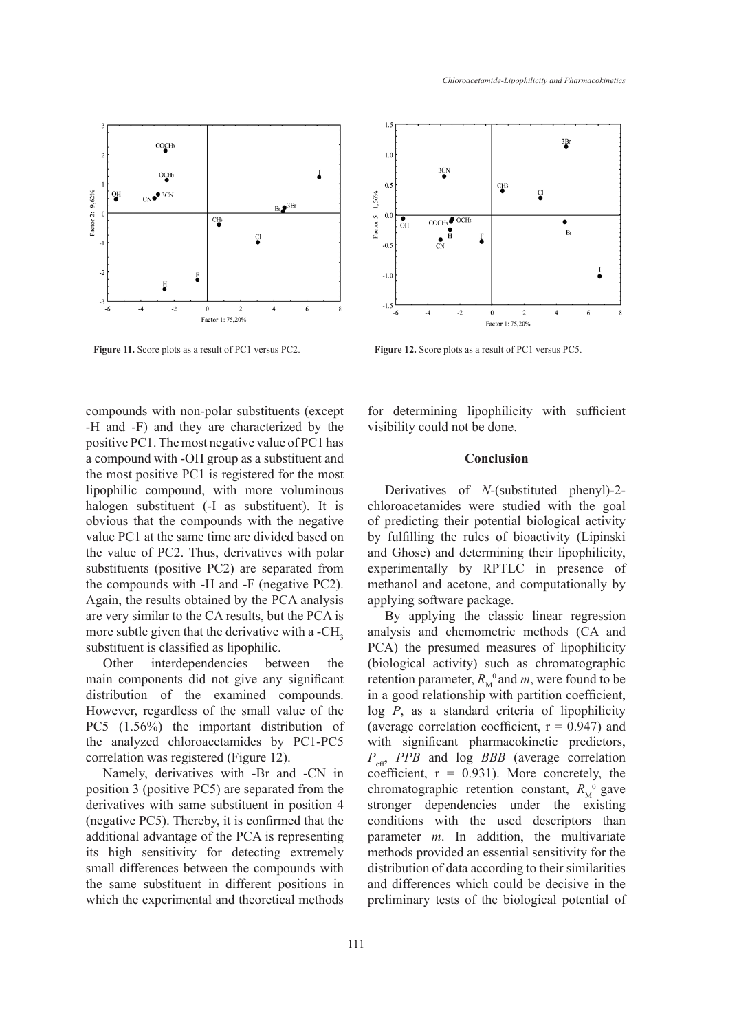

**Figure 11.** Score plots as a result of PC1 versus PC2. **Figure 12.** Score plots as a result of PC1 versus PC5. **Figure 12.** Score plots as a result of PC1 versus PC5. **Figure 11.** Score plots as a result of PC1 versus PC2.

compounds with non-polar substituents (except -H and -F) and they are characterized by the positive PC1. The most negative value of PC1 has a compound with -OH group as a substituent and the most positive PC1 is registered for the most lipophilic compound, with more voluminous halogen substituent (-I as substituent). It is obvious that the compounds with the negative value PC1 at the same time are divided based on the value of PC2. Thus, derivatives with polar substituents (positive PC2) are separated from the compounds with -H and -F (negative PC2). Again, the results obtained by the PCA analysis are very similar to the CA results, but the PCA is more subtle given that the derivative with a -CH<sub>3</sub> substituent is classified as lipophilic.

Other interdependencies between the main components did not give any significant distribution of the examined compounds. However, regardless of the small value of the PC5 (1.56%) the important distribution of the analyzed chloroacetamides by PC1-PC5 correlation was registered (Figure 12).

Namely, derivatives with -Br and -CN in position 3 (positive PC5) are separated from the derivatives with same substituent in position 4 (negative PC5). Thereby, it is confirmed that the additional advantage of the PCA is representing its high sensitivity for detecting extremely small differences between the compounds with the same substituent in different positions in which the experimental and theoretical methods



for determining lipophilicity with sufficient visibility could not be done.  $\mathcal{L}$  additional advantage of the PCA is representing its high sensitivity for detecting its high sensitivity for detecting its high sensitivity for detecting its high sensitivity for detecting its high sensitivity for

#### **Conclusion Conclusion**

Derivatives of *N*-(substituted phenyl)-2chloroacetamides were studied with the goal of predicting their potential biological activity by fulfilling the rules of bioactivity (Lipinski and Ghose) and determining their lipophilicity, experimentally by RPTLC in presence of methanol and acetone, and computationally by applying software package.

By applying the classic linear regression analysis and chemometric methods (CA and PCA) the presumed measures of lipophilicity (biological activity) such as chromatographic retention parameter,  $R_M^0$  and *m*, were found to be in a good relationship with partition coefficient, log *P*, as a standard criteria of lipophilicity (average correlation coefficient,  $r = 0.947$ ) and with significant pharmacokinetic predictors, *P*eff, *PPB* and log *BBB* (average correlation coefficient,  $r = 0.931$ ). More concretely, the chromatographic retention constant,  $R_{\rm M}^{0}$  gave stronger dependencies under the existing conditions with the used descriptors than parameter *m*. In addition, the multivariate methods provided an essential sensitivity for the distribution of data according to their similarities and differences which could be decisive in the preliminary tests of the biological potential of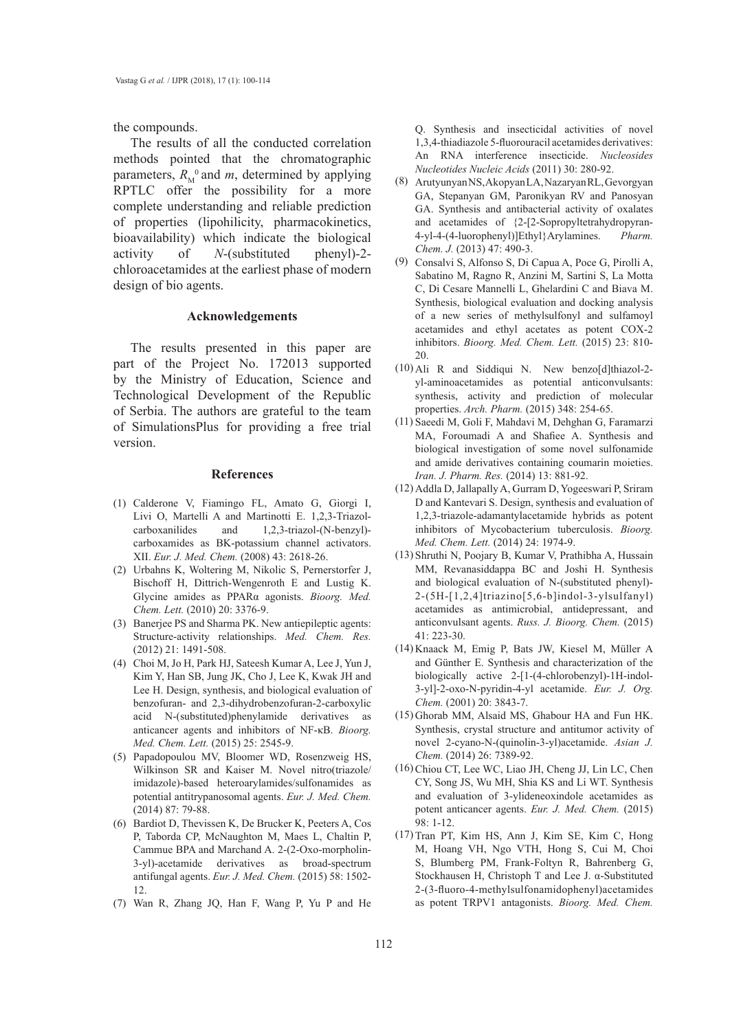the compounds.

The results of all the conducted correlation methods pointed that the chromatographic parameters,  $R_M^0$  and *m*, determined by applying RPTLC offer the possibility for a more complete understanding and reliable prediction of properties (lipohilicity, pharmacokinetics, bioavailability) which indicate the biological activity of *N*-(substituted phenyl)-2 chloroacetamides at the earliest phase of modern design of bio agents.

#### **Acknowledgements**

The results presented in this paper are part of the Project No. 172013 supported by the Ministry of Education, Science and Technological Development of the Republic of Serbia. The authors are grateful to the team of SimulationsPlus for providing a free trial version.

#### **References**

- (1) Calderone V, Fiamingo FL, Amato G, Giorgi I, Livi O, Martelli A and Martinotti E. 1,2,3-Triazol-<br>carboxanilides and 1,2,3-triazol-(N-benzyl)and  $1,2,3$ -triazol-(N-benzyl)carboxamides as BK-potassium channel activators. XII. *Eur. J. Med. Chem.* (2008) 43: 2618-26.
- Urbahns K, Woltering M, Nikolic S, Pernerstorfer J, (2) Bischoff H, Dittrich-Wengenroth E and Lustig K. Glycine amides as PPARα agonists. *Bioorg. Med. Chem. Lett.* (2010) 20: 3376-9.
- (3) Banerjee PS and Sharma PK. New antiepileptic agents: Structure-activity relationships. *Med. Chem. Res.* (2012) 21: 1491-508.
- Choi M, Jo H, Park HJ, Sateesh Kumar A, Lee J, Yun J, (4) Kim Y, Han SB, Jung JK, Cho J, Lee K, Kwak JH and Lee H. Design, synthesis, and biological evaluation of benzofuran- and 2,3-dihydrobenzofuran-2-carboxylic acid N-(substituted)phenylamide derivatives as anticancer agents and inhibitors of NF-κB. *Bioorg. Med. Chem. Lett.* (2015) 25: 2545-9.
- Papadopoulou MV, Bloomer WD, Rosenzweig HS, (5) Wilkinson SR and Kaiser M. Novel nitro(triazole/ imidazole)-based heteroarylamides/sulfonamides as potential antitrypanosomal agents. *Eur. J. Med. Chem.*  (2014) 87: 79-88.
- (6) Bardiot D, Thevissen K, De Brucker K, Peeters A, Cos P, Taborda CP, McNaughton M, Maes L, Chaltin P, Cammue BPA and Marchand A. 2-(2-Oxo-morpholin-3-yl)-acetamide derivatives as broad-spectrum antifungal agents. *Eur. J. Med. Chem.* (2015) 58: 1502- 12.
- Wan R, Zhang JQ, Han F, Wang P, Yu P and He (7)

Q. Synthesis and insecticidal activities of novel 1,3,4-thiadiazole 5-fluorouracil acetamides derivatives: An RNA interference insecticide. *Nucleosides Nucleotides Nucleic Acids* (2011) 30: 280-92.

- Arutyunyan NS, Akopyan LA, Nazaryan RL, Gevorgyan (8) GA, Stepanyan GM, Paronikyan RV and Panosyan GA. Synthesis and antibacterial activity of oxalates and acetamides of {2-[2-Sopropyltetrahydropyran-4-yl-4-(4-luorophenyl)]Ethyl}Arylamines. *Pharm. Chem. J.* (2013) 47: 490-3.
- Consalvi S, Alfonso S, Di Capua A, Poce G, Pirolli A, Sabatino M, Ragno R, Anzini M, Sartini S, La Motta C, Di Cesare Mannelli L, Ghelardini C and Biava M. Synthesis, biological evaluation and docking analysis of a new series of methylsulfonyl and sulfamoyl acetamides and ethyl acetates as potent COX-2 inhibitors. *Bioorg. Med. Chem. Lett.* (2015) 23: 810- 20. (9)
- $(10)$  Ali R and Siddiqui N. New benzo[d]thiazol-2yl-aminoacetamides as potential anticonvulsants: synthesis, activity and prediction of molecular properties. *Arch. Pharm.* (2015) 348: 254-65.
- (11) Saeedi M, Goli F, Mahdavi M, Dehghan G, Faramarzi MA, Foroumadi A and Shafiee A. Synthesis and biological investigation of some novel sulfonamide and amide derivatives containing coumarin moieties. *Iran. J. Pharm. Res.* (2014) 13: 881-92.
- Addla D, Jallapally A, Gurram D, Yogeeswari P, Sriram (12) D and Kantevari S. Design, synthesis and evaluation of 1,2,3-triazole-adamantylacetamide hybrids as potent inhibitors of Mycobacterium tuberculosis. *Bioorg. Med. Chem. Lett.* (2014) 24: 1974-9.
- (13) Shruthi N, Poojary B, Kumar V, Prathibha A, Hussain MM, Revanasiddappa BC and Joshi H. Synthesis and biological evaluation of N-(substituted phenyl)- 2-(5H-[1,2,4]triazino[5,6-b]indol-3-ylsulfanyl) acetamides as antimicrobial, antidepressant, and anticonvulsant agents. *Russ. J. Bioorg. Chem.* (2015) 41: 223-30.
- (14) Knaack M, Emig P, Bats JW, Kiesel M, Müller A and Günther E. Synthesis and characterization of the biologically active 2-[1-(4-chlorobenzyl)-1H-indol-3-yl]-2-oxo-N-pyridin-4-yl acetamide. *Eur. J. Org. Chem.* (2001) 20: 3843-7.
- Ghorab MM, Alsaid MS, Ghabour HA and Fun HK. (15) Synthesis, crystal structure and antitumor activity of novel 2-cyano-N-(quinolin-3-yl)acetamide. *Asian J. Chem.* (2014) 26: 7389-92.
- (16) Chiou CT, Lee WC, Liao JH, Cheng JJ, Lin LC, Chen CY, Song JS, Wu MH, Shia KS and Li WT. Synthesis and evaluation of 3-ylideneoxindole acetamides as potent anticancer agents. *Eur. J. Med. Chem.* (2015) 98: 1-12.
- (17) Tran PT, Kim HS, Ann J, Kim SE, Kim C, Hong M, Hoang VH, Ngo VTH, Hong S, Cui M, Choi S, Blumberg PM, Frank-Foltyn R, Bahrenberg G, Stockhausen H, Christoph T and Lee J. α-Substituted 2-(3-fluoro-4-methylsulfonamidophenyl)acetamides as potent TRPV1 antagonists. *Bioorg. Med. Chem.*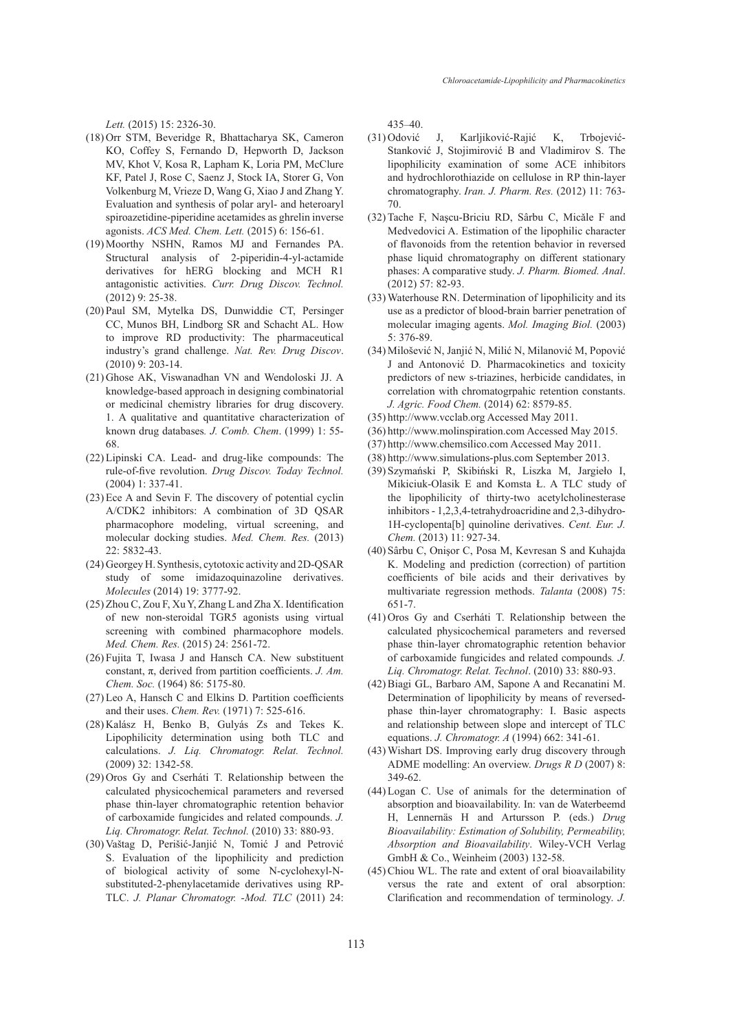*Lett.* (2015) 15: 2326-30.

- (18) Orr STM, Beveridge R, Bhattacharya SK, Cameron KO, Coffey S, Fernando D, Hepworth D, Jackson MV, Khot V, Kosa R, Lapham K, Loria PM, McClure KF, Patel J, Rose C, Saenz J, Stock IA, Storer G, Von Volkenburg M, Vrieze D, Wang G, Xiao J and Zhang Y. Evaluation and synthesis of polar aryl- and heteroaryl spiroazetidine-piperidine acetamides as ghrelin inverse agonists. *ACS Med. Chem. Lett.* (2015) 6: 156-61.
- (19) Moorthy NSHN, Ramos MJ and Fernandes PA. Structural analysis of 2-piperidin-4-yl-actamide derivatives for hERG blocking and MCH R1 antagonistic activities. *Curr. Drug Discov. Technol.* (2012) 9: 25-38.
- (20) Paul SM, Mytelka DS, Dunwiddie CT, Persinger CC, Munos BH, Lindborg SR and Schacht AL. How to improve RD productivity: The pharmaceutical industry's grand challenge. *Nat. Rev. Drug Discov*. (2010) 9: 203-14.
- (21) Ghose AK, Viswanadhan VN and Wendoloski JJ. A knowledge-based approach in designing combinatorial or medicinal chemistry libraries for drug discovery. 1. A qualitative and quantitative characterization of known drug databases*. J. Comb. Chem*. (1999) 1: 55- 68.
- (22) Lipinski CA. Lead- and drug-like compounds: The rule-of-five revolution. *Drug Discov. Today Technol.* (2004) 1: 337-41.
- $(23)$  Ece A and Sevin F. The discovery of potential cyclin A/CDK2 inhibitors: A combination of 3D QSAR pharmacophore modeling, virtual screening, and molecular docking studies. *Med. Chem. Res.* (2013) 22: 5832-43.
- (24) Georgey H. Synthesis, cytotoxic activity and 2D-QSAR study of some imidazoquinazoline derivatives. *Molecules* (2014) 19: 3777-92.
- $(25)$  Zhou C, Zou F, Xu Y, Zhang L and Zha X. Identification of new non-steroidal TGR5 agonists using virtual screening with combined pharmacophore models. *Med. Chem. Res.* (2015) 24: 2561-72.
- $(26)$  Fujita T, Iwasa J and Hansch CA. New substituent constant, π, derived from partition coefficients. *J. Am. Chem. Soc.* (1964) 86: 5175-80.
- (27) Leo A, Hansch C and Elkins D. Partition coefficients and their uses. *Chem. Rev.* (1971) 7: 525-616.
- $(28)$  Kalász H, Benko B, Gulyás Zs and Tekes K. Lipophilicity determination using both TLC and calculations. *J. Liq. Chromatogr. Relat. Technol.*  (2009) 32: 1342-58.
- (29) Oros Gy and Cserháti T. Relationship between the calculated physicochemical parameters and reversed phase thin-layer chromatographic retention behavior of carboxamide fungicides and related compounds. *J. Liq. Chromatogr. Relat. Technol.* (2010) 33: 880-93.
- Vaštag D, Perišić-Janjić N, Tomić J and Petrović (30) S. Evaluation of the lipophilicity and prediction of biological activity of some N-cyclohexyl-Nsubstituted-2-phenylacetamide derivatives using RP-TLC. *J. Planar Chromatogr. -Mod. TLC* (2011) 24:

435–40.

- J, Karljiković-Rajić K, Trbojević-Stanković J, Stojimirović B and Vladimirov S. The lipophilicity examination of some ACE inhibitors and hydrochlorothiazide on cellulose in RP thin-layer chromatography. *Iran. J. Pharm. Res.* (2012) 11: 763- 70. (31) Odović
- (32) Tache F, Nașcu-Briciu RD, Sârbu C, Micăle F and Medvedovici A. Estimation of the lipophilic character of flavonoids from the retention behavior in reversed phase liquid chromatography on different stationary phases: A comparative study. *J. Pharm. Biomed. Anal*. (2012) 57: 82-93.
- Waterhouse RN. Determination of lipophilicity and its (33) use as a predictor of blood-brain barrier penetration of molecular imaging agents. *Mol. Imaging Biol.* (2003) 5: 376-89.
- (34) Milošević N, Janjić N, Milić N, Milanović M, Popović J and Antonović D. Pharmacokinetics and toxicity predictors of new s-triazines, herbicide candidates, in correlation with chromatogrpahic retention constants. *J. Agric. Food Chem.* (2014) 62: 8579-85.
- http://www.vcclab.org Accessed May 2011. (35)
- http://www.molinspiration.com Accessed May 2015. (36)
- http://www.chemsilico.com Accessed May 2011. (37)
- http://www.simulations-plus.com September 2013. (38)
- (39) Szymański P, Skibiński R, Liszka M, Jargieło I, Mikiciuk-Olasik E and Komsta Ł. A TLC study of the lipophilicity of thirty-two acetylcholinesterase inhibitors - 1,2,3,4-tetrahydroacridine and 2,3-dihydro-1H-cyclopenta[b] quinoline derivatives. *Cent. Eur. J. Chem.* (2013) 11: 927-34.
- Sârbu C, Onişor C, Posa M, Kevresan S and Kuhajda (40) K. Modeling and prediction (correction) of partition coefficients of bile acids and their derivatives by multivariate regression methods. *Talanta* (2008) 75: 651-7.
- (41) Oros Gy and Cserháti T. Relationship between the calculated physicochemical parameters and reversed phase thin-layer chromatographic retention behavior of carboxamide fungicides and related compounds*. J. Liq. Chromatogr. Relat. Technol*. (2010) 33: 880-93.
- Biagi GL, Barbaro AM, Sapone A and Recanatini M. (42) Determination of lipophilicity by means of reversedphase thin-layer chromatography: I. Basic aspects and relationship between slope and intercept of TLC equations. *J. Chromatogr. A* (1994) 662: 341-61.
- Wishart DS. Improving early drug discovery through (43) ADME modelling: An overview. *Drugs R D* (2007) 8: 349-62.
- Logan C. Use of animals for the determination of (44) absorption and bioavailability. In: van de Waterbeemd H, Lennernäs H and Artursson P. (eds.) *Drug Bioavailability: Estimation of Solubility, Permeability, Absorption and Bioavailability*. Wiley-VCH Verlag GmbH & Co., Weinheim (2003) 132-58.
- (45) Chiou WL. The rate and extent of oral bioavailability versus the rate and extent of oral absorption: Clarification and recommendation of terminology. *J.*